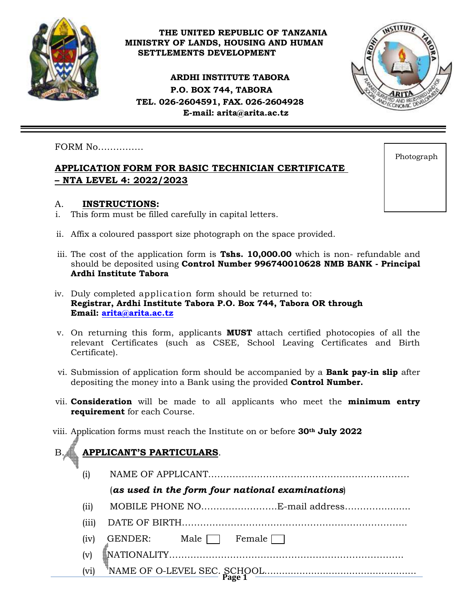

#### **THE UNITED REPUBLIC OF TANZANIA MINISTRY OF LANDS, HOUSING AND HUMAN SETTLEMENTS DEVELOPMENT**

**ARDHI INSTITUTE TABORA P.O. BOX 744, TABORA TEL. 026-2604591, FAX. 026-2604928 E-mail: [arita@arita.ac.tz](mailto:arita@arita.ac.tz)**



#### FORM No……………

## **APPLICATION FORM FOR BASIC TECHNICIAN CERTIFICATE – NTA LEVEL 4: 2022/2023**

#### A. **INSTRUCTIONS:**

- i. This form must be filled carefully in capital letters.
- ii. Affix a coloured passport size photograph on the space provided.
- iii. The cost of the application form is **Tshs. 10,000.00** which is non- refundable and should be deposited using **Control Number 996740010628 NMB BANK - Principal Ardhi Institute Tabora**
- iv. Duly completed application form should be returned to: **Registrar, Ardhi Institute Tabora P.O. Box 744, Tabora OR through Email: [arita@arita.ac.tz](mailto:arita@arita.ac.tz)**
- v. On returning this form, applicants **MUST** attach certified photocopies of all the relevant Certificates (such as CSEE, School Leaving Certificates and Birth Certificate).
- vi. Submission of application form should be accompanied by a **Bank pay-in slip** after depositing the money into a Bank using the provided **Control Number.**
- vii. **Consideration** will be made to all applicants who meet the **minimum entry requirement** for each Course.
- viii. Application forms must reach the Institute on or before **30th July 2022**

# B. **APPLICANT'S PARTICULARS**.

(i) NAME OF APPLICANT…………………………………………………………

## (*as used in the form four national examinations*)

- (ii) MOBILE PHONE NO…………………….E-mail address…………..........
- (iii) DATE OF BIRTH………………………………………………………………..
- $(iv)$  GENDER: Male Female
- (v) NATIONALITY…………………………………………………………………..
- **Page 1** (vi) NAME OF O-LEVEL SEC. SCHOOL....................................................

Photograph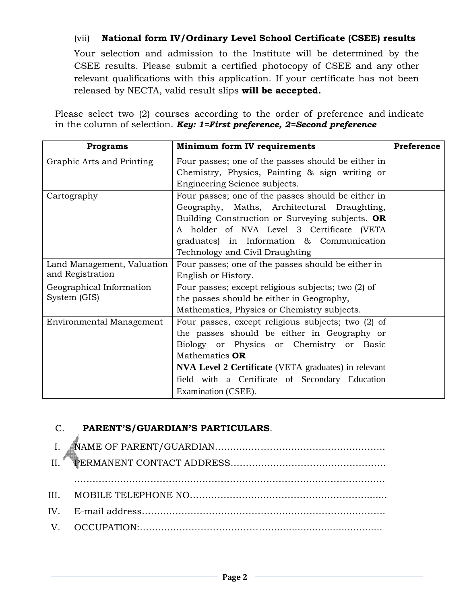# (vii) **National form IV/Ordinary Level School Certificate (CSEE) results**

Your selection and admission to the Institute will be determined by the CSEE results. Please submit a certified photocopy of CSEE and any other relevant qualifications with this application. If your certificate has not been released by NECTA, valid result slips **will be accepted.**

Please select two (2) courses according to the order of preference and indicate in the column of selection. *Key: 1=First preference, 2=Second preference*

| <b>Programs</b>                 | Minimum form IV requirements                                | Preference |  |  |  |
|---------------------------------|-------------------------------------------------------------|------------|--|--|--|
| Graphic Arts and Printing       | Four passes; one of the passes should be either in          |            |  |  |  |
|                                 | Chemistry, Physics, Painting & sign writing or              |            |  |  |  |
|                                 | Engineering Science subjects.                               |            |  |  |  |
| Cartography                     | Four passes; one of the passes should be either in          |            |  |  |  |
|                                 | Geography, Maths, Architectural Draughting,                 |            |  |  |  |
|                                 | Building Construction or Surveying subjects. OR             |            |  |  |  |
|                                 | A holder of NVA Level 3 Certificate (VETA                   |            |  |  |  |
|                                 | graduates) in Information & Communication                   |            |  |  |  |
|                                 | Technology and Civil Draughting                             |            |  |  |  |
| Land Management, Valuation      | Four passes; one of the passes should be either in          |            |  |  |  |
| and Registration                | English or History.                                         |            |  |  |  |
| Geographical Information        | Four passes; except religious subjects; two (2) of          |            |  |  |  |
| System (GIS)                    | the passes should be either in Geography,                   |            |  |  |  |
|                                 | Mathematics, Physics or Chemistry subjects.                 |            |  |  |  |
| <b>Environmental Management</b> | Four passes, except religious subjects; two (2) of          |            |  |  |  |
|                                 | the passes should be either in Geography or                 |            |  |  |  |
|                                 | Biology or Physics or Chemistry or Basic                    |            |  |  |  |
|                                 | Mathematics <b>OR</b>                                       |            |  |  |  |
|                                 | <b>NVA Level 2 Certificate</b> (VETA graduates) in relevant |            |  |  |  |
|                                 | field with a Certificate of Secondary Education             |            |  |  |  |
|                                 | Examination (CSEE).                                         |            |  |  |  |

## C. **PARENT'S/GUARDIAN'S PARTICULARS**.